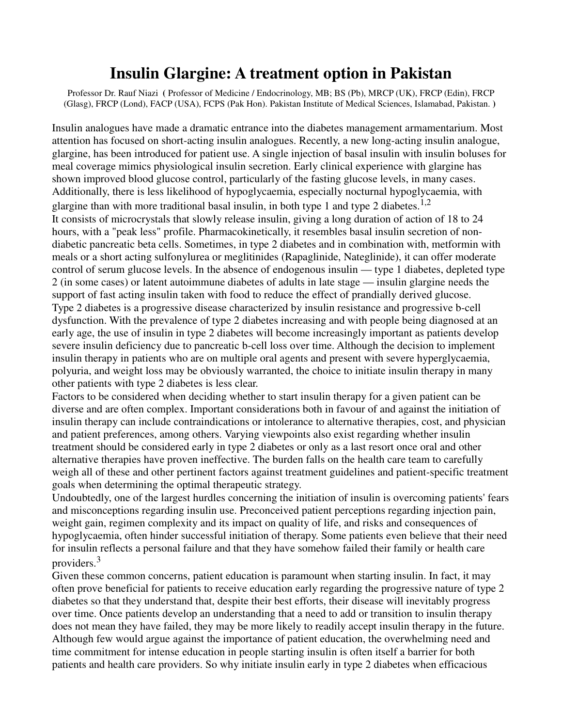## **Insulin Glargine: A treatment option in Pakistan**

Professor Dr. Rauf Niazi **(** Professor of Medicine / Endocrinology, MB; BS (Pb), MRCP (UK), FRCP (Edin), FRCP (Glasg), FRCP (Lond), FACP (USA), FCPS (Pak Hon). Pakistan Institute of Medical Sciences, Islamabad, Pakistan. **)** 

Insulin analogues have made a dramatic entrance into the diabetes management armamentarium. Most attention has focused on short-acting insulin analogues. Recently, a new long-acting insulin analogue, glargine, has been introduced for patient use. A single injection of basal insulin with insulin boluses for meal coverage mimics physiological insulin secretion. Early clinical experience with glargine has shown improved blood glucose control, particularly of the fasting glucose levels, in many cases. Additionally, there is less likelihood of hypoglycaemia, especially nocturnal hypoglycaemia, with glargine than with more traditional basal insulin, in both type 1 and type 2 diabetes.<sup>1,2</sup> It consists of microcrystals that slowly release insulin, giving a long duration of action of 18 to 24 hours, with a "peak less" profile. Pharmacokinetically, it resembles basal insulin secretion of nondiabetic pancreatic beta cells. Sometimes, in type 2 diabetes and in combination with, metformin with meals or a short acting sulfonylurea or meglitinides (Rapaglinide, Nateglinide), it can offer moderate control of serum glucose levels. In the absence of endogenous insulin — type 1 diabetes, depleted type 2 (in some cases) or latent autoimmune diabetes of adults in late stage — insulin glargine needs the support of fast acting insulin taken with food to reduce the effect of prandially derived glucose. Type 2 diabetes is a progressive disease characterized by insulin resistance and progressive b-cell dysfunction. With the prevalence of type 2 diabetes increasing and with people being diagnosed at an early age, the use of insulin in type 2 diabetes will become increasingly important as patients develop severe insulin deficiency due to pancreatic b-cell loss over time. Although the decision to implement insulin therapy in patients who are on multiple oral agents and present with severe hyperglycaemia, polyuria, and weight loss may be obviously warranted, the choice to initiate insulin therapy in many other patients with type 2 diabetes is less clear.

Factors to be considered when deciding whether to start insulin therapy for a given patient can be diverse and are often complex. Important considerations both in favour of and against the initiation of insulin therapy can include contraindications or intolerance to alternative therapies, cost, and physician and patient preferences, among others. Varying viewpoints also exist regarding whether insulin treatment should be considered early in type 2 diabetes or only as a last resort once oral and other alternative therapies have proven ineffective. The burden falls on the health care team to carefully weigh all of these and other pertinent factors against treatment guidelines and patient-specific treatment goals when determining the optimal therapeutic strategy.

Undoubtedly, one of the largest hurdles concerning the initiation of insulin is overcoming patients' fears and misconceptions regarding insulin use. Preconceived patient perceptions regarding injection pain, weight gain, regimen complexity and its impact on quality of life, and risks and consequences of hypoglycaemia, often hinder successful initiation of therapy. Some patients even believe that their need for insulin reflects a personal failure and that they have somehow failed their family or health care providers.<sup>3</sup>

Given these common concerns, patient education is paramount when starting insulin. In fact, it may often prove beneficial for patients to receive education early regarding the progressive nature of type 2 diabetes so that they understand that, despite their best efforts, their disease will inevitably progress over time. Once patients develop an understanding that a need to add or transition to insulin therapy does not mean they have failed, they may be more likely to readily accept insulin therapy in the future. Although few would argue against the importance of patient education, the overwhelming need and time commitment for intense education in people starting insulin is often itself a barrier for both patients and health care providers. So why initiate insulin early in type 2 diabetes when efficacious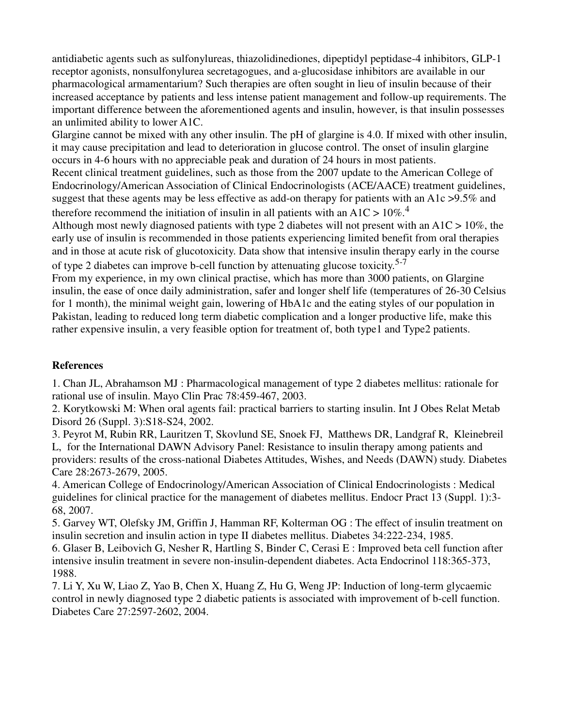antidiabetic agents such as sulfonylureas, thiazolidinediones, dipeptidyl peptidase-4 inhibitors, GLP-1 receptor agonists, nonsulfonylurea secretagogues, and a-glucosidase inhibitors are available in our pharmacological armamentarium? Such therapies are often sought in lieu of insulin because of their increased acceptance by patients and less intense patient management and follow-up requirements. The important difference between the aforementioned agents and insulin, however, is that insulin possesses an unlimited ability to lower A1C.

Glargine cannot be mixed with any other insulin. The pH of glargine is 4.0. If mixed with other insulin, it may cause precipitation and lead to deterioration in glucose control. The onset of insulin glargine occurs in 4-6 hours with no appreciable peak and duration of 24 hours in most patients.

Recent clinical treatment guidelines, such as those from the 2007 update to the American College of Endocrinology/American Association of Clinical Endocrinologists (ACE/AACE) treatment guidelines, suggest that these agents may be less effective as add-on therapy for patients with an A1c >9.5% and therefore recommend the initiation of insulin in all patients with an A1C >  $10\%$ <sup>4</sup>

Although most newly diagnosed patients with type 2 diabetes will not present with an  $A1C > 10\%$ , the early use of insulin is recommended in those patients experiencing limited benefit from oral therapies and in those at acute risk of glucotoxicity. Data show that intensive insulin therapy early in the course of type 2 diabetes can improve b-cell function by attenuating glucose toxicity.<sup>5-7</sup>

From my experience, in my own clinical practise, which has more than 3000 patients, on Glargine insulin, the ease of once daily administration, safer and longer shelf life (temperatures of 26-30 Celsius for 1 month), the minimal weight gain, lowering of HbA1c and the eating styles of our population in Pakistan, leading to reduced long term diabetic complication and a longer productive life, make this rather expensive insulin, a very feasible option for treatment of, both type1 and Type2 patients.

## **References**

1. Chan JL, Abrahamson MJ : Pharmacological management of type 2 diabetes mellitus: rationale for rational use of insulin. Mayo Clin Prac 78:459-467, 2003.

2. Korytkowski M: When oral agents fail: practical barriers to starting insulin. Int J Obes Relat Metab Disord 26 (Suppl. 3):S18-S24, 2002.

3. Peyrot M, Rubin RR, Lauritzen T, Skovlund SE, Snoek FJ, Matthews DR, Landgraf R, Kleinebreil L, for the International DAWN Advisory Panel: Resistance to insulin therapy among patients and providers: results of the cross-national Diabetes Attitudes, Wishes, and Needs (DAWN) study. Diabetes Care 28:2673-2679, 2005.

4. American College of Endocrinology/American Association of Clinical Endocrinologists : Medical guidelines for clinical practice for the management of diabetes mellitus. Endocr Pract 13 (Suppl. 1):3- 68, 2007.

5. Garvey WT, Olefsky JM, Griffin J, Hamman RF, Kolterman OG : The effect of insulin treatment on insulin secretion and insulin action in type II diabetes mellitus. Diabetes 34:222-234, 1985.

6. Glaser B, Leibovich G, Nesher R, Hartling S, Binder C, Cerasi E : Improved beta cell function after intensive insulin treatment in severe non-insulin-dependent diabetes. Acta Endocrinol 118:365-373, 1988.

7. Li Y, Xu W, Liao Z, Yao B, Chen X, Huang Z, Hu G, Weng JP: Induction of long-term glycaemic control in newly diagnosed type 2 diabetic patients is associated with improvement of b-cell function. Diabetes Care 27:2597-2602, 2004.